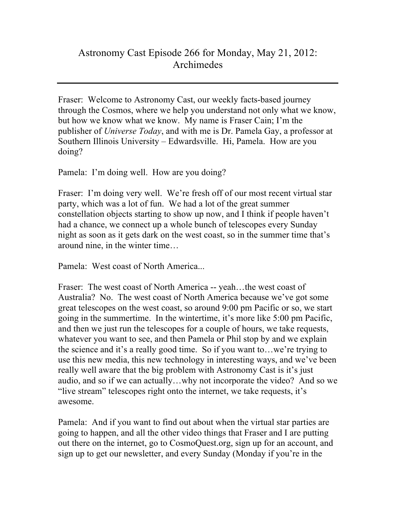## Astronomy Cast Episode 266 for Monday, May 21, 2012: Archimedes

Fraser: Welcome to Astronomy Cast, our weekly facts-based journey through the Cosmos, where we help you understand not only what we know, but how we know what we know. My name is Fraser Cain; I'm the publisher of *Universe Today*, and with me is Dr. Pamela Gay, a professor at Southern Illinois University – Edwardsville. Hi, Pamela. How are you doing?

Pamela: I'm doing well. How are you doing?

Fraser: I'm doing very well. We're fresh off of our most recent virtual star party, which was a lot of fun. We had a lot of the great summer constellation objects starting to show up now, and I think if people haven't had a chance, we connect up a whole bunch of telescopes every Sunday night as soon as it gets dark on the west coast, so in the summer time that's around nine, in the winter time…

Pamela: West coast of North America...

Fraser: The west coast of North America -- yeah…the west coast of Australia? No. The west coast of North America because we've got some great telescopes on the west coast, so around 9:00 pm Pacific or so, we start going in the summertime. In the wintertime, it's more like 5:00 pm Pacific, and then we just run the telescopes for a couple of hours, we take requests, whatever you want to see, and then Pamela or Phil stop by and we explain the science and it's a really good time. So if you want to…we're trying to use this new media, this new technology in interesting ways, and we've been really well aware that the big problem with Astronomy Cast is it's just audio, and so if we can actually…why not incorporate the video? And so we "live stream" telescopes right onto the internet, we take requests, it's awesome.

Pamela: And if you want to find out about when the virtual star parties are going to happen, and all the other video things that Fraser and I are putting out there on the internet, go to CosmoQuest.org, sign up for an account, and sign up to get our newsletter, and every Sunday (Monday if you're in the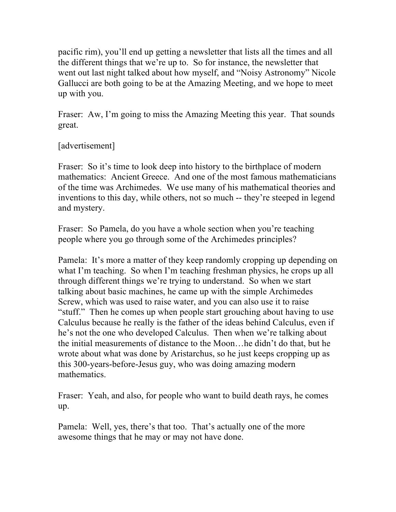pacific rim), you'll end up getting a newsletter that lists all the times and all the different things that we're up to. So for instance, the newsletter that went out last night talked about how myself, and "Noisy Astronomy" Nicole Gallucci are both going to be at the Amazing Meeting, and we hope to meet up with you.

Fraser: Aw, I'm going to miss the Amazing Meeting this year. That sounds great.

## [advertisement]

Fraser: So it's time to look deep into history to the birthplace of modern mathematics: Ancient Greece. And one of the most famous mathematicians of the time was Archimedes. We use many of his mathematical theories and inventions to this day, while others, not so much -- they're steeped in legend and mystery.

Fraser: So Pamela, do you have a whole section when you're teaching people where you go through some of the Archimedes principles?

Pamela: It's more a matter of they keep randomly cropping up depending on what I'm teaching. So when I'm teaching freshman physics, he crops up all through different things we're trying to understand. So when we start talking about basic machines, he came up with the simple Archimedes Screw, which was used to raise water, and you can also use it to raise "stuff." Then he comes up when people start grouching about having to use Calculus because he really is the father of the ideas behind Calculus, even if he's not the one who developed Calculus. Then when we're talking about the initial measurements of distance to the Moon…he didn't do that, but he wrote about what was done by Aristarchus, so he just keeps cropping up as this 300-years-before-Jesus guy, who was doing amazing modern mathematics.

Fraser: Yeah, and also, for people who want to build death rays, he comes up.

Pamela: Well, yes, there's that too. That's actually one of the more awesome things that he may or may not have done.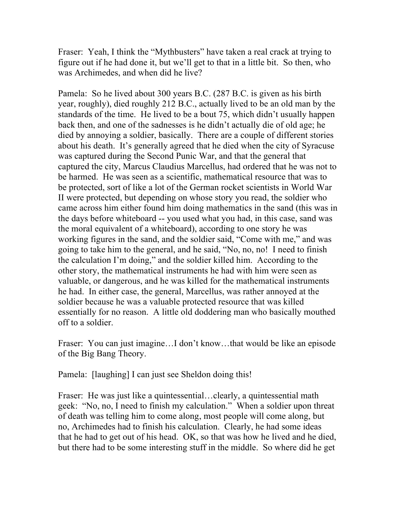Fraser: Yeah, I think the "Mythbusters" have taken a real crack at trying to figure out if he had done it, but we'll get to that in a little bit. So then, who was Archimedes, and when did he live?

Pamela: So he lived about 300 years B.C. (287 B.C. is given as his birth year, roughly), died roughly 212 B.C., actually lived to be an old man by the standards of the time. He lived to be a bout 75, which didn't usually happen back then, and one of the sadnesses is he didn't actually die of old age; he died by annoying a soldier, basically. There are a couple of different stories about his death. It's generally agreed that he died when the city of Syracuse was captured during the Second Punic War, and that the general that captured the city, Marcus Claudius Marcellus, had ordered that he was not to be harmed. He was seen as a scientific, mathematical resource that was to be protected, sort of like a lot of the German rocket scientists in World War II were protected, but depending on whose story you read, the soldier who came across him either found him doing mathematics in the sand (this was in the days before whiteboard -- you used what you had, in this case, sand was the moral equivalent of a whiteboard), according to one story he was working figures in the sand, and the soldier said, "Come with me," and was going to take him to the general, and he said, "No, no, no! I need to finish the calculation I'm doing," and the soldier killed him. According to the other story, the mathematical instruments he had with him were seen as valuable, or dangerous, and he was killed for the mathematical instruments he had. In either case, the general, Marcellus, was rather annoyed at the soldier because he was a valuable protected resource that was killed essentially for no reason. A little old doddering man who basically mouthed off to a soldier.

Fraser: You can just imagine…I don't know…that would be like an episode of the Big Bang Theory.

Pamela: [laughing] I can just see Sheldon doing this!

Fraser: He was just like a quintessential…clearly, a quintessential math geek: "No, no, I need to finish my calculation." When a soldier upon threat of death was telling him to come along, most people will come along, but no, Archimedes had to finish his calculation. Clearly, he had some ideas that he had to get out of his head. OK, so that was how he lived and he died, but there had to be some interesting stuff in the middle. So where did he get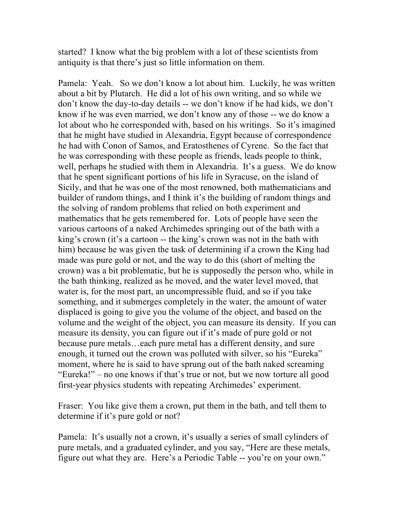started? I know what the big problem with a lot of these scientists from antiquity is that there's just so little information on them.

Pamela: Yeah. So we don't know a lot about him. Luckily, he was written about a bit by Plutarch. He did a lot of his own writing, and so while we don't know the day-to-day details -- we don't know if he had kids, we don't know if he was even married, we don't know any of those -- we do know a lot about who he corresponded with, based on his writings. So it's imagined that he might have studied in Alexandria, Egypt because of correspondence he had with Conon of Samos, and Eratosthenes of Cyrene. So the fact that he was corresponding with these people as friends, leads people to think, well, perhaps he studied with them in Alexandria. It's a guess. We do know that he spent significant portions of his life in Syracuse, on the island of Sicily, and that he was one of the most renowned, both mathematicians and builder of random things, and I think it's the building of random things and the solving of random problems that relied on both experiment and mathematics that he gets remembered for. Lots of people have seen the various cartoons of a naked Archimedes springing out of the bath with a king's crown (it's a cartoon -- the king's crown was not in the bath with him) because he was given the task of determining if a crown the King had made was pure gold or not, and the way to do this (short of melting the crown) was a bit problematic, but he is supposedly the person who, while in the bath thinking, realized as he moved, and the water level moved, that water is, for the most part, an uncompressible fluid, and so if you take something, and it submerges completely in the water, the amount of water displaced is going to give you the volume of the object, and based on the volume and the weight of the object, you can measure its density. If you can measure its density, you can figure out if it's made of pure gold or not because pure metals…each pure metal has a different density, and sure enough, it turned out the crown was polluted with silver, so his "Eureka" moment, where he is said to have sprung out of the bath naked screaming "Eureka!" – no one knows if that's true or not, but we now torture all good first-year physics students with repeating Archimedes' experiment.

Fraser: You like give them a crown, put them in the bath, and tell them to determine if it's pure gold or not?

Pamela: It's usually not a crown, it's usually a series of small cylinders of pure metals, and a graduated cylinder, and you say, "Here are these metals, figure out what they are. Here's a Periodic Table -- you're on your own."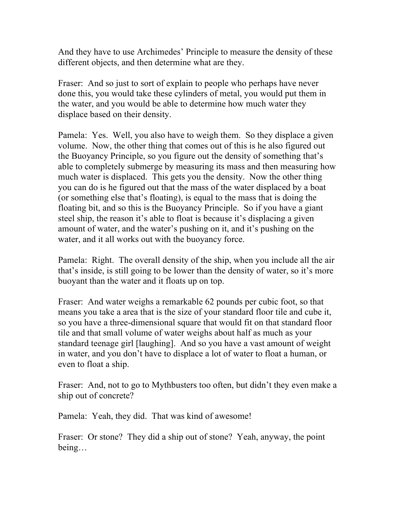And they have to use Archimedes' Principle to measure the density of these different objects, and then determine what are they.

Fraser: And so just to sort of explain to people who perhaps have never done this, you would take these cylinders of metal, you would put them in the water, and you would be able to determine how much water they displace based on their density.

Pamela: Yes. Well, you also have to weigh them. So they displace a given volume. Now, the other thing that comes out of this is he also figured out the Buoyancy Principle, so you figure out the density of something that's able to completely submerge by measuring its mass and then measuring how much water is displaced. This gets you the density. Now the other thing you can do is he figured out that the mass of the water displaced by a boat (or something else that's floating), is equal to the mass that is doing the floating bit, and so this is the Buoyancy Principle. So if you have a giant steel ship, the reason it's able to float is because it's displacing a given amount of water, and the water's pushing on it, and it's pushing on the water, and it all works out with the buoyancy force.

Pamela: Right. The overall density of the ship, when you include all the air that's inside, is still going to be lower than the density of water, so it's more buoyant than the water and it floats up on top.

Fraser: And water weighs a remarkable 62 pounds per cubic foot, so that means you take a area that is the size of your standard floor tile and cube it, so you have a three-dimensional square that would fit on that standard floor tile and that small volume of water weighs about half as much as your standard teenage girl [laughing]. And so you have a vast amount of weight in water, and you don't have to displace a lot of water to float a human, or even to float a ship.

Fraser: And, not to go to Mythbusters too often, but didn't they even make a ship out of concrete?

Pamela: Yeah, they did. That was kind of awesome!

Fraser: Or stone? They did a ship out of stone? Yeah, anyway, the point being…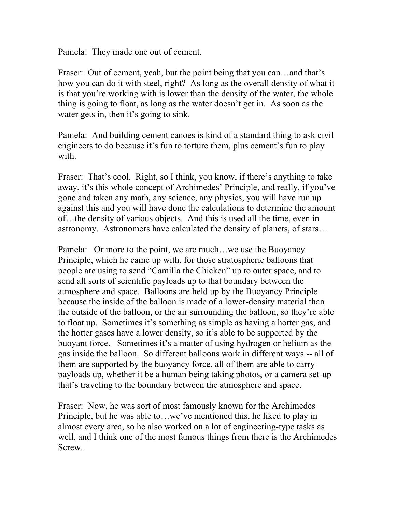Pamela: They made one out of cement.

Fraser: Out of cement, yeah, but the point being that you can...and that's how you can do it with steel, right? As long as the overall density of what it is that you're working with is lower than the density of the water, the whole thing is going to float, as long as the water doesn't get in. As soon as the water gets in, then it's going to sink.

Pamela: And building cement canoes is kind of a standard thing to ask civil engineers to do because it's fun to torture them, plus cement's fun to play with.

Fraser: That's cool. Right, so I think, you know, if there's anything to take away, it's this whole concept of Archimedes' Principle, and really, if you've gone and taken any math, any science, any physics, you will have run up against this and you will have done the calculations to determine the amount of…the density of various objects. And this is used all the time, even in astronomy. Astronomers have calculated the density of planets, of stars…

Pamela: Or more to the point, we are much…we use the Buoyancy Principle, which he came up with, for those stratospheric balloons that people are using to send "Camilla the Chicken" up to outer space, and to send all sorts of scientific payloads up to that boundary between the atmosphere and space. Balloons are held up by the Buoyancy Principle because the inside of the balloon is made of a lower-density material than the outside of the balloon, or the air surrounding the balloon, so they're able to float up. Sometimes it's something as simple as having a hotter gas, and the hotter gases have a lower density, so it's able to be supported by the buoyant force. Sometimes it's a matter of using hydrogen or helium as the gas inside the balloon. So different balloons work in different ways -- all of them are supported by the buoyancy force, all of them are able to carry payloads up, whether it be a human being taking photos, or a camera set-up that's traveling to the boundary between the atmosphere and space.

Fraser: Now, he was sort of most famously known for the Archimedes Principle, but he was able to…we've mentioned this, he liked to play in almost every area, so he also worked on a lot of engineering-type tasks as well, and I think one of the most famous things from there is the Archimedes Screw.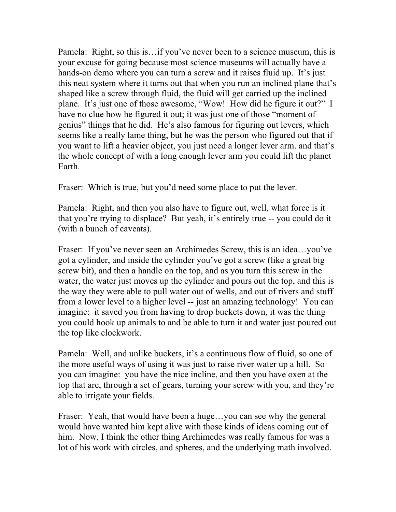Pamela: Right, so this is…if you've never been to a science museum, this is your excuse for going because most science museums will actually have a hands-on demo where you can turn a screw and it raises fluid up. It's just this neat system where it turns out that when you run an inclined plane that's shaped like a screw through fluid, the fluid will get carried up the inclined plane. It's just one of those awesome, "Wow! How did he figure it out?" I have no clue how he figured it out; it was just one of those "moment of genius" things that he did. He's also famous for figuring out levers, which seems like a really lame thing, but he was the person who figured out that if you want to lift a heavier object, you just need a longer lever arm. and that's the whole concept of with a long enough lever arm you could lift the planet Earth.

Fraser: Which is true, but you'd need some place to put the lever.

Pamela: Right, and then you also have to figure out, well, what force is it that you're trying to displace? But yeah, it's entirely true -- you could do it (with a bunch of caveats).

Fraser: If you've never seen an Archimedes Screw, this is an idea…you've got a cylinder, and inside the cylinder you've got a screw (like a great big screw bit), and then a handle on the top, and as you turn this screw in the water, the water just moves up the cylinder and pours out the top, and this is the way they were able to pull water out of wells, and out of rivers and stuff from a lower level to a higher level -- just an amazing technology! You can imagine: it saved you from having to drop buckets down, it was the thing you could hook up animals to and be able to turn it and water just poured out the top like clockwork.

Pamela: Well, and unlike buckets, it's a continuous flow of fluid, so one of the more useful ways of using it was just to raise river water up a hill. So you can imagine: you have the nice incline, and then you have oxen at the top that are, through a set of gears, turning your screw with you, and they're able to irrigate your fields.

Fraser: Yeah, that would have been a huge…you can see why the general would have wanted him kept alive with those kinds of ideas coming out of him. Now, I think the other thing Archimedes was really famous for was a lot of his work with circles, and spheres, and the underlying math involved.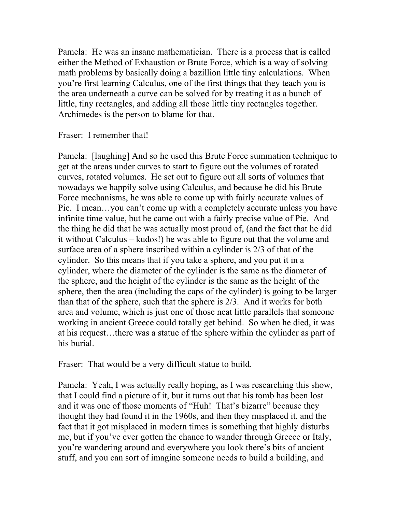Pamela: He was an insane mathematician. There is a process that is called either the Method of Exhaustion or Brute Force, which is a way of solving math problems by basically doing a bazillion little tiny calculations. When you're first learning Calculus, one of the first things that they teach you is the area underneath a curve can be solved for by treating it as a bunch of little, tiny rectangles, and adding all those little tiny rectangles together. Archimedes is the person to blame for that.

Fraser: I remember that!

Pamela: [laughing] And so he used this Brute Force summation technique to get at the areas under curves to start to figure out the volumes of rotated curves, rotated volumes. He set out to figure out all sorts of volumes that nowadays we happily solve using Calculus, and because he did his Brute Force mechanisms, he was able to come up with fairly accurate values of Pie. I mean…you can't come up with a completely accurate unless you have infinite time value, but he came out with a fairly precise value of Pie. And the thing he did that he was actually most proud of, (and the fact that he did it without Calculus – kudos!) he was able to figure out that the volume and surface area of a sphere inscribed within a cylinder is 2/3 of that of the cylinder. So this means that if you take a sphere, and you put it in a cylinder, where the diameter of the cylinder is the same as the diameter of the sphere, and the height of the cylinder is the same as the height of the sphere, then the area (including the caps of the cylinder) is going to be larger than that of the sphere, such that the sphere is 2/3. And it works for both area and volume, which is just one of those neat little parallels that someone working in ancient Greece could totally get behind. So when he died, it was at his request…there was a statue of the sphere within the cylinder as part of his burial.

Fraser: That would be a very difficult statue to build.

Pamela: Yeah, I was actually really hoping, as I was researching this show, that I could find a picture of it, but it turns out that his tomb has been lost and it was one of those moments of "Huh! That's bizarre" because they thought they had found it in the 1960s, and then they misplaced it, and the fact that it got misplaced in modern times is something that highly disturbs me, but if you've ever gotten the chance to wander through Greece or Italy, you're wandering around and everywhere you look there's bits of ancient stuff, and you can sort of imagine someone needs to build a building, and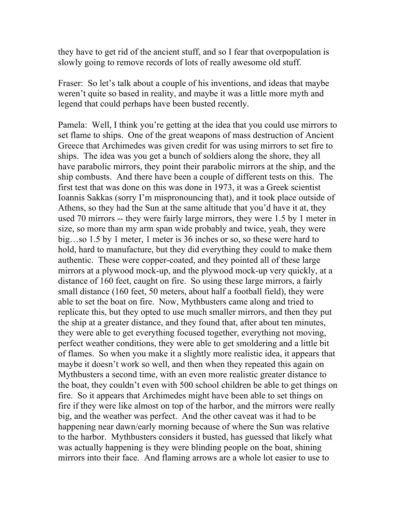they have to get rid of the ancient stuff, and so I fear that overpopulation is slowly going to remove records of lots of really awesome old stuff.

Fraser: So let's talk about a couple of his inventions, and ideas that maybe weren't quite so based in reality, and maybe it was a little more myth and legend that could perhaps have been busted recently.

Pamela: Well, I think you're getting at the idea that you could use mirrors to set flame to ships. One of the great weapons of mass destruction of Ancient Greece that Archimedes was given credit for was using mirrors to set fire to ships. The idea was you get a bunch of soldiers along the shore, they all have parabolic mirrors, they point their parabolic mirrors at the ship, and the ship combusts. And there have been a couple of different tests on this. The first test that was done on this was done in 1973, it was a Greek scientist Ioannis Sakkas (sorry I'm mispronouncing that), and it took place outside of Athens, so they had the Sun at the same altitude that you'd have it at, they used 70 mirrors -- they were fairly large mirrors, they were 1.5 by 1 meter in size, so more than my arm span wide probably and twice, yeah, they were big…so 1.5 by 1 meter, 1 meter is 36 inches or so, so these were hard to hold, hard to manufacture, but they did everything they could to make them authentic. These were copper-coated, and they pointed all of these large mirrors at a plywood mock-up, and the plywood mock-up very quickly, at a distance of 160 feet, caught on fire. So using these large mirrors, a fairly small distance (160 feet, 50 meters, about half a football field), they were able to set the boat on fire. Now, Mythbusters came along and tried to replicate this, but they opted to use much smaller mirrors, and then they put the ship at a greater distance, and they found that, after about ten minutes, they were able to get everything focused together, everything not moving, perfect weather conditions, they were able to get smoldering and a little bit of flames. So when you make it a slightly more realistic idea, it appears that maybe it doesn't work so well, and then when they repeated this again on Mythbusters a second time, with an even more realistic greater distance to the boat, they couldn't even with 500 school children be able to get things on fire. So it appears that Archimedes might have been able to set things on fire if they were like almost on top of the harbor, and the mirrors were really big, and the weather was perfect. And the other caveat was it had to be happening near dawn/early morning because of where the Sun was relative to the harbor. Mythbusters considers it busted, has guessed that likely what was actually happening is they were blinding people on the boat, shining mirrors into their face. And flaming arrows are a whole lot easier to use to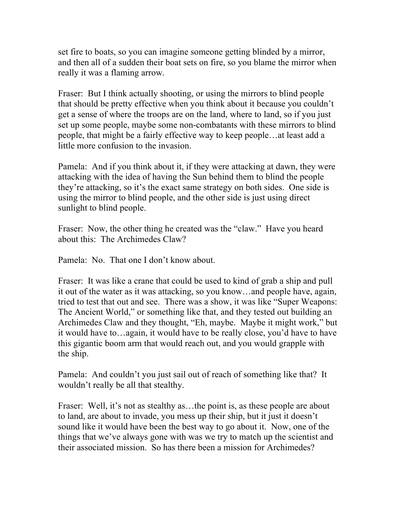set fire to boats, so you can imagine someone getting blinded by a mirror, and then all of a sudden their boat sets on fire, so you blame the mirror when really it was a flaming arrow.

Fraser: But I think actually shooting, or using the mirrors to blind people that should be pretty effective when you think about it because you couldn't get a sense of where the troops are on the land, where to land, so if you just set up some people, maybe some non-combatants with these mirrors to blind people, that might be a fairly effective way to keep people…at least add a little more confusion to the invasion.

Pamela: And if you think about it, if they were attacking at dawn, they were attacking with the idea of having the Sun behind them to blind the people they're attacking, so it's the exact same strategy on both sides. One side is using the mirror to blind people, and the other side is just using direct sunlight to blind people.

Fraser: Now, the other thing he created was the "claw." Have you heard about this: The Archimedes Claw?

Pamela: No. That one I don't know about.

Fraser: It was like a crane that could be used to kind of grab a ship and pull it out of the water as it was attacking, so you know…and people have, again, tried to test that out and see. There was a show, it was like "Super Weapons: The Ancient World," or something like that, and they tested out building an Archimedes Claw and they thought, "Eh, maybe. Maybe it might work," but it would have to…again, it would have to be really close, you'd have to have this gigantic boom arm that would reach out, and you would grapple with the ship.

Pamela: And couldn't you just sail out of reach of something like that? It wouldn't really be all that stealthy.

Fraser: Well, it's not as stealthy as...the point is, as these people are about to land, are about to invade, you mess up their ship, but it just it doesn't sound like it would have been the best way to go about it. Now, one of the things that we've always gone with was we try to match up the scientist and their associated mission. So has there been a mission for Archimedes?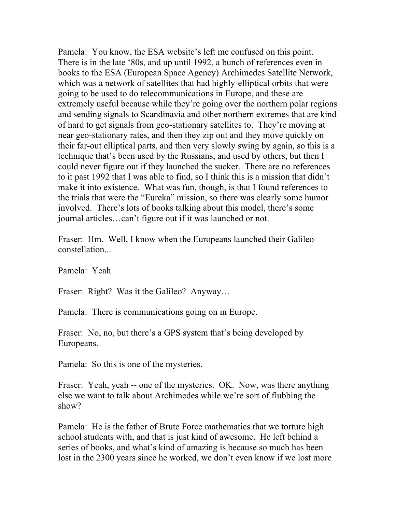Pamela: You know, the ESA website's left me confused on this point. There is in the late '80s, and up until 1992, a bunch of references even in books to the ESA (European Space Agency) Archimedes Satellite Network, which was a network of satellites that had highly-elliptical orbits that were going to be used to do telecommunications in Europe, and these are extremely useful because while they're going over the northern polar regions and sending signals to Scandinavia and other northern extremes that are kind of hard to get signals from geo-stationary satellites to. They're moving at near geo-stationary rates, and then they zip out and they move quickly on their far-out elliptical parts, and then very slowly swing by again, so this is a technique that's been used by the Russians, and used by others, but then I could never figure out if they launched the sucker. There are no references to it past 1992 that I was able to find, so I think this is a mission that didn't make it into existence. What was fun, though, is that I found references to the trials that were the "Eureka" mission, so there was clearly some humor involved. There's lots of books talking about this model, there's some journal articles…can't figure out if it was launched or not.

Fraser: Hm. Well, I know when the Europeans launched their Galileo constellation...

Pamela: Yeah.

Fraser: Right? Was it the Galileo? Anyway...

Pamela: There is communications going on in Europe.

Fraser: No, no, but there's a GPS system that's being developed by Europeans.

Pamela: So this is one of the mysteries.

Fraser: Yeah, yeah -- one of the mysteries. OK. Now, was there anything else we want to talk about Archimedes while we're sort of flubbing the show?

Pamela: He is the father of Brute Force mathematics that we torture high school students with, and that is just kind of awesome. He left behind a series of books, and what's kind of amazing is because so much has been lost in the 2300 years since he worked, we don't even know if we lost more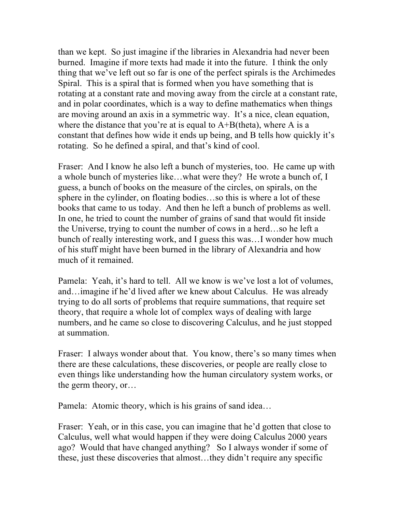than we kept. So just imagine if the libraries in Alexandria had never been burned. Imagine if more texts had made it into the future. I think the only thing that we've left out so far is one of the perfect spirals is the Archimedes Spiral. This is a spiral that is formed when you have something that is rotating at a constant rate and moving away from the circle at a constant rate, and in polar coordinates, which is a way to define mathematics when things are moving around an axis in a symmetric way. It's a nice, clean equation, where the distance that you're at is equal to  $A+B$ (theta), where A is a constant that defines how wide it ends up being, and B tells how quickly it's rotating. So he defined a spiral, and that's kind of cool.

Fraser: And I know he also left a bunch of mysteries, too. He came up with a whole bunch of mysteries like…what were they? He wrote a bunch of, I guess, a bunch of books on the measure of the circles, on spirals, on the sphere in the cylinder, on floating bodies…so this is where a lot of these books that came to us today. And then he left a bunch of problems as well. In one, he tried to count the number of grains of sand that would fit inside the Universe, trying to count the number of cows in a herd…so he left a bunch of really interesting work, and I guess this was…I wonder how much of his stuff might have been burned in the library of Alexandria and how much of it remained.

Pamela: Yeah, it's hard to tell. All we know is we've lost a lot of volumes, and…imagine if he'd lived after we knew about Calculus. He was already trying to do all sorts of problems that require summations, that require set theory, that require a whole lot of complex ways of dealing with large numbers, and he came so close to discovering Calculus, and he just stopped at summation.

Fraser: I always wonder about that. You know, there's so many times when there are these calculations, these discoveries, or people are really close to even things like understanding how the human circulatory system works, or the germ theory, or…

Pamela: Atomic theory, which is his grains of sand idea…

Fraser: Yeah, or in this case, you can imagine that he'd gotten that close to Calculus, well what would happen if they were doing Calculus 2000 years ago? Would that have changed anything? So I always wonder if some of these, just these discoveries that almost…they didn't require any specific